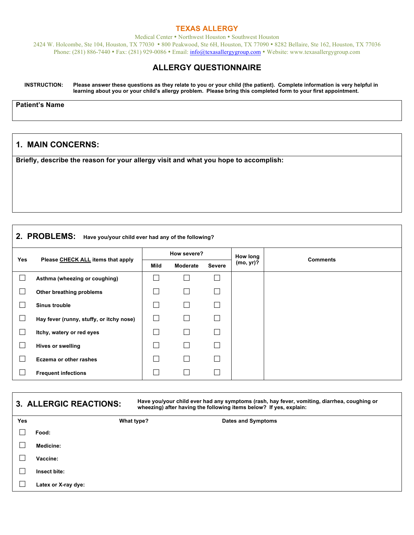#### **TEXAS ALLERGY**

Medical Center • Northwest Houston • Southwest Houston 2424 W. Holcombe, Ste 104, Houston, TX 77030 • 800 Peakwood, Ste 6H, Houston, TX 77090 • 8282 Bellaire, Ste 162, Houston, TX 77036 Phone: (281) 886-7440 • Fax: (281) 929-0086 • Email: info@texasallergygroup.com • Website: www.texasallergygroup.com

### **ALLERGY QUESTIONNAIRE**

**INSTRUCTION: Please answer these questions as they relate to you or your child (the patient). Complete information is very helpful in learning about you or your child's allergy problem. Please bring this completed form to your first appointment.**

**Patient's Name**

### **1. MAIN CONCERNS:**

**Briefly, describe the reason for your allergy visit and what you hope to accomplish:**

# **2. PROBLEMS: Have you/your child ever had any of the following?**

| <b>Yes</b> | Please CHECK ALL items that apply        | How severe? |              |                   | How long  | <b>Comments</b> |
|------------|------------------------------------------|-------------|--------------|-------------------|-----------|-----------------|
|            |                                          | Mild        | Moderate     | <b>Severe</b>     | (mo, yr)? |                 |
|            | Asthma (wheezing or coughing)            |             |              | □                 |           |                 |
|            | Other breathing problems                 |             | $\mathbf{L}$ | П                 |           |                 |
|            | Sinus trouble                            |             |              | $\Box$            |           |                 |
|            | Hay fever (runny, stuffy, or itchy nose) |             |              | $\vert \ \ \vert$ |           |                 |
| $\Box$     | Itchy, watery or red eyes                |             |              | П                 |           |                 |
|            | <b>Hives or swelling</b>                 |             | L            | $\Box$            |           |                 |
|            | Eczema or other rashes                   |             |              | П                 |           |                 |
|            | <b>Frequent infections</b>               |             |              | $\mathbf{L}$      |           |                 |

|            | 3. ALLERGIC REACTIONS: | Have you/your child ever had any symptoms (rash, hay fever, vomiting, diarrhea, coughing or<br>wheezing) after having the following items below? If yes, explain: |                    |  |  |
|------------|------------------------|-------------------------------------------------------------------------------------------------------------------------------------------------------------------|--------------------|--|--|
| <b>Yes</b> |                        | What type?                                                                                                                                                        | Dates and Symptoms |  |  |
|            | Food:                  |                                                                                                                                                                   |                    |  |  |
|            | Medicine:              |                                                                                                                                                                   |                    |  |  |
|            | Vaccine:               |                                                                                                                                                                   |                    |  |  |
|            | Insect bite:           |                                                                                                                                                                   |                    |  |  |
|            | Latex or X-ray dye:    |                                                                                                                                                                   |                    |  |  |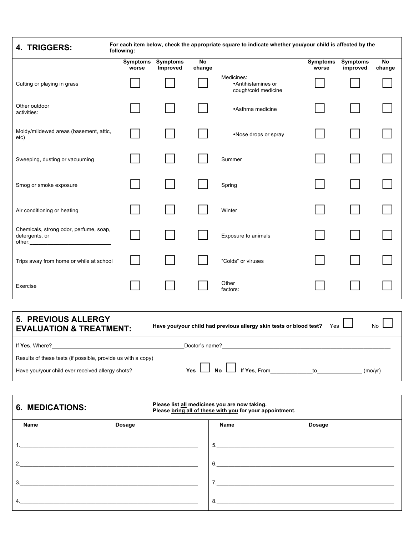| For each item below, check the appropriate square to indicate whether you/your child is affected by the<br>4. TRIGGERS:<br>following:          |                   |                             |              |                                                         |                          |                             |                     |
|------------------------------------------------------------------------------------------------------------------------------------------------|-------------------|-----------------------------|--------------|---------------------------------------------------------|--------------------------|-----------------------------|---------------------|
|                                                                                                                                                | Symptoms<br>worse | <b>Symptoms</b><br>Improved | No<br>change |                                                         | <b>Symptoms</b><br>worse | <b>Symptoms</b><br>improved | <b>No</b><br>change |
| Cutting or playing in grass                                                                                                                    |                   |                             |              | Medicines:<br>•Antihistamines or<br>cough/cold medicine |                          |                             |                     |
| Other outdoor<br>activities:                                                                                                                   |                   |                             |              | •Asthma medicine                                        |                          |                             |                     |
| Moldy/mildewed areas (basement, attic,<br>etc)                                                                                                 |                   |                             |              | •Nose drops or spray                                    |                          |                             |                     |
| Sweeping, dusting or vacuuming                                                                                                                 |                   |                             |              | Summer                                                  |                          |                             |                     |
| Smog or smoke exposure                                                                                                                         |                   |                             |              | Spring                                                  |                          |                             |                     |
| Air conditioning or heating                                                                                                                    |                   |                             |              | Winter                                                  |                          |                             |                     |
| Chemicals, strong odor, perfume, soap,<br>detergents, or<br>other: $\frac{1}{2}$                                                               |                   |                             |              | Exposure to animals                                     |                          |                             |                     |
| Trips away from home or while at school                                                                                                        |                   |                             |              | "Colds" or viruses                                      |                          |                             |                     |
| Exercise                                                                                                                                       |                   |                             |              | Other<br>factors:                                       |                          |                             |                     |
|                                                                                                                                                |                   |                             |              |                                                         |                          |                             |                     |
| 5. PREVIOUS ALLERGY<br>Have you/your child had previous allergy skin tests or blood test?<br>No<br>Yes<br><b>EVALUATION &amp; TREATMENT:</b>   |                   |                             |              |                                                         |                          |                             |                     |
| If Yes, Where? Management of Yes, Where?                                                                                                       |                   |                             |              |                                                         |                          |                             |                     |
| Results of these tests (if possible, provide us with a copy)                                                                                   |                   |                             |              |                                                         |                          |                             |                     |
| If Yes, From $\qquad \qquad \text{to} \qquad \qquad$<br><b>No</b><br>Have you/your child ever received allergy shots?<br>(mo/yr)<br><b>Yes</b> |                   |                             |              |                                                         |                          |                             |                     |
|                                                                                                                                                |                   |                             |              |                                                         |                          |                             |                     |
| Please list all medicines you are now taking.<br><b>6. MEDICATIONS:</b><br>Please bring all of these with you for your appointment.            |                   |                             |              |                                                         |                          |                             |                     |
| Name                                                                                                                                           | Dosage            |                             |              | Name                                                    | Dosage                   |                             |                     |

| name | Dosage | name | Dosage |
|------|--------|------|--------|
|      |        | 5.   |        |
| 2.   |        |      |        |
| 3.   |        |      |        |
| 4.   |        |      |        |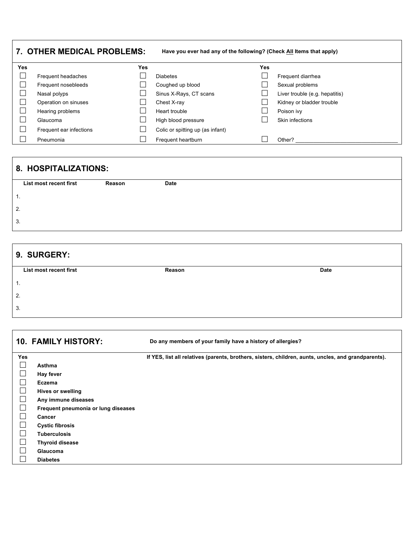| 7. OTHER MEDICAL PROBLEMS: |                         |            | Have you ever had any of the following? (Check All Items that apply) |            |                                |
|----------------------------|-------------------------|------------|----------------------------------------------------------------------|------------|--------------------------------|
| <b>Yes</b>                 |                         | <b>Yes</b> |                                                                      | <b>Yes</b> |                                |
|                            | Frequent headaches      |            | <b>Diabetes</b>                                                      |            | Frequent diarrhea              |
|                            | Frequent nosebleeds     |            | Coughed up blood                                                     |            | Sexual problems                |
|                            | Nasal polyps            |            | Sinus X-Rays, CT scans                                               |            | Liver trouble (e.g. hepatitis) |
|                            | Operation on sinuses    |            | Chest X-ray                                                          |            | Kidney or bladder trouble      |
|                            | Hearing problems        |            | Heart trouble                                                        |            | Poison ivy                     |
|                            | Glaucoma                |            | High blood pressure                                                  |            | Skin infections                |
|                            | Frequent ear infections |            | Colic or spitting up (as infant)                                     |            |                                |
|                            | Pneumonia               |            | Frequent heartburn                                                   |            | Other?                         |

# **8. HOSPITALIZATIONS:**

| List most recent first | Reason | Date |
|------------------------|--------|------|
| . .                    |        |      |
| 2.                     |        |      |
| 3.                     |        |      |

| 9. SURGERY:            |        |             |  |  |  |  |
|------------------------|--------|-------------|--|--|--|--|
| List most recent first | Reason | <b>Date</b> |  |  |  |  |
| . .                    |        |             |  |  |  |  |
| 2.                     |        |             |  |  |  |  |
| 3.                     |        |             |  |  |  |  |

**10. FAMILY HISTORY: Do any members of your family have a history of allergies? Yes If YES, list all relatives (parents, brothers, sisters, children, aunts, uncles, and grandparents).** £ **Asthma** £ **Hay fever** £ **Eczema** □ **Hives or swelling**<br>□ **Any immune dise** £ **Any immune diseases** £ **Frequent pneumonia or lung diseases** £ **Cancer** £ **Cystic fibrosis** £ **Tuberculosis** £ **Thyroid disease** £ **Glaucoma** £ **Diabetes**